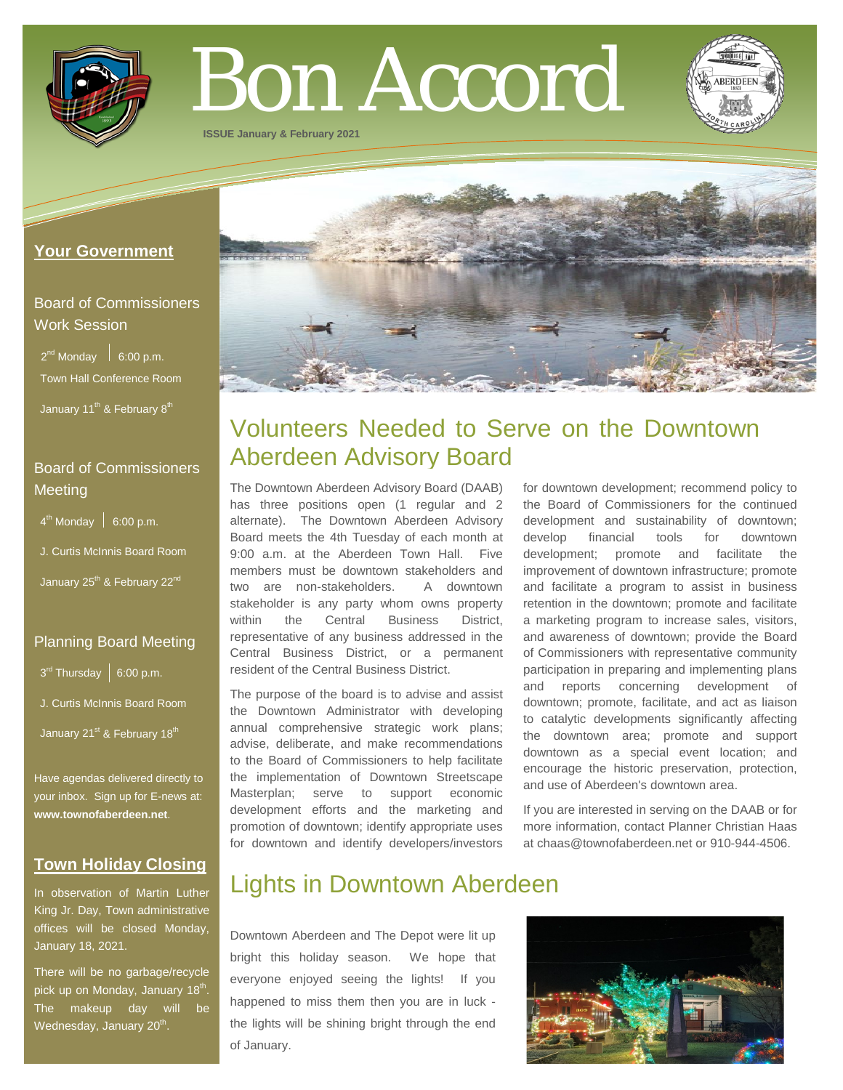

# Bon Accord

**ISSUE January & February 2021**

### **Your Government**

# Board of Commissioners Work Session

 $2^{nd}$  Monday  $\Big|$  6:00 p.m. Town Hall Conference Room

January 11<sup>th</sup> & February 8<sup>th</sup>

# Board of Commissioners **Meeting**

 $4<sup>th</sup>$  Monday  $\Big|$  6:00 p.m.

J. Curtis McInnis Board Room

January 25<sup>th</sup> & February 22<sup>nd</sup>

## Planning Board Meeting

 $3^{rd}$  Thursday | 6:00 p.m.

J. Curtis McInnis Board Room

January 21<sup>st</sup> & February 18<sup>th</sup>

Have agendas delivered directly to your inbox. Sign up for E-news at: **[www.townofaberdeen.net](http://www.townofaberdeen.net/)**.

## **Town Holiday Closing**

In observation of Martin Luther King Jr. Day, Town administrative offices will be closed Monday, January 18, 2021.

There will be no garbage/recycle pick up on Monday, January 18<sup>th</sup>. The makeup day will be Wednesday, January 20<sup>th</sup>.



# Volunteers Needed to Serve on the Downtown Aberdeen Advisory Board

The Downtown Aberdeen Advisory Board (DAAB) has three positions open (1 regular and 2 alternate). The Downtown Aberdeen Advisory Board meets the 4th Tuesday of each month at 9:00 a.m. at the Aberdeen Town Hall. Five members must be downtown stakeholders and two are non-stakeholders. A downtown stakeholder is any party whom owns property within the Central Business District, representative of any business addressed in the Central Business District, or a permanent resident of the Central Business District.

The purpose of the board is to advise and assist the Downtown Administrator with developing annual comprehensive strategic work plans; advise, deliberate, and make recommendations to the Board of Commissioners to help facilitate the implementation of Downtown Streetscape Masterplan; serve to support economic development efforts and the marketing and promotion of downtown; identify appropriate uses for downtown and identify developers/investors for downtown development; recommend policy to the Board of Commissioners for the continued development and sustainability of downtown; develop financial tools for downtown development; promote and facilitate the improvement of downtown infrastructure; promote and facilitate a program to assist in business retention in the downtown; promote and facilitate a marketing program to increase sales, visitors, and awareness of downtown; provide the Board of Commissioners with representative community participation in preparing and implementing plans and reports concerning development of downtown; promote, facilitate, and act as liaison to catalytic developments significantly affecting the downtown area; promote and support downtown as a special event location; and encourage the historic preservation, protection, and use of Aberdeen's downtown area.

If you are interested in serving on the DAAB or for more information, contact Planner Christian Haas at chaas@townofaberdeen.net or 910-944-4506.

# Lights in Downtown Aberdeen

Downtown Aberdeen and The Depot were lit up bright this holiday season. We hope that everyone enjoyed seeing the lights! If you happened to miss them then you are in luck the lights will be shining bright through the end of January.